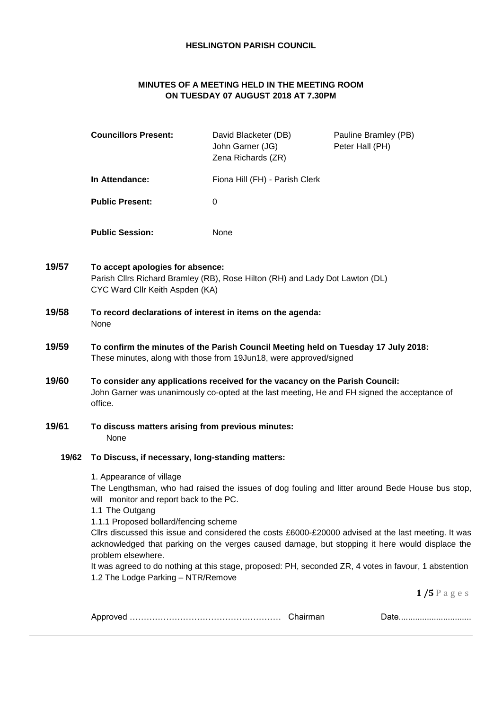# **HESLINGTON PARISH COUNCIL**

# **MINUTES OF A MEETING HELD IN THE MEETING ROOM ON TUESDAY 07 AUGUST 2018 AT 7.30PM**

|       | <b>Councillors Present:</b>                                                                                                                                                             | David Blacketer (DB)<br>John Garner (JG)<br>Zena Richards (ZR) | Pauline Bramley (PB)<br>Peter Hall (PH)                                                                                                                                                                                                                                                                   |
|-------|-----------------------------------------------------------------------------------------------------------------------------------------------------------------------------------------|----------------------------------------------------------------|-----------------------------------------------------------------------------------------------------------------------------------------------------------------------------------------------------------------------------------------------------------------------------------------------------------|
|       | In Attendance:                                                                                                                                                                          | Fiona Hill (FH) - Parish Clerk                                 |                                                                                                                                                                                                                                                                                                           |
|       | <b>Public Present:</b>                                                                                                                                                                  | 0                                                              |                                                                                                                                                                                                                                                                                                           |
|       | <b>Public Session:</b>                                                                                                                                                                  | None                                                           |                                                                                                                                                                                                                                                                                                           |
| 19/57 | To accept apologies for absence:<br>Parish Cllrs Richard Bramley (RB), Rose Hilton (RH) and Lady Dot Lawton (DL)<br>CYC Ward Cllr Keith Aspden (KA)                                     |                                                                |                                                                                                                                                                                                                                                                                                           |
| 19/58 | To record declarations of interest in items on the agenda:<br>None                                                                                                                      |                                                                |                                                                                                                                                                                                                                                                                                           |
| 19/59 | To confirm the minutes of the Parish Council Meeting held on Tuesday 17 July 2018:<br>These minutes, along with those from 19Jun18, were approved/signed                                |                                                                |                                                                                                                                                                                                                                                                                                           |
| 19/60 | To consider any applications received for the vacancy on the Parish Council:<br>John Garner was unanimously co-opted at the last meeting, He and FH signed the acceptance of<br>office. |                                                                |                                                                                                                                                                                                                                                                                                           |
| 19/61 | To discuss matters arising from previous minutes:<br>None                                                                                                                               |                                                                |                                                                                                                                                                                                                                                                                                           |
| 19/62 | To Discuss, if necessary, long-standing matters:                                                                                                                                        |                                                                |                                                                                                                                                                                                                                                                                                           |
|       | 1. Appearance of village<br>will monitor and report back to the PC.<br>1.1 The Outgang<br>1.1.1 Proposed bollard/fencing scheme                                                         |                                                                | The Lengthsman, who had raised the issues of dog fouling and litter around Bede House bus stop,<br>Cllrs discussed this issue and considered the costs £6000-£20000 advised at the last meeting. It was<br>acknowledged that parking on the verges caused damage, but stopping it here would displace the |
|       | problem elsewhere.<br>1.2 The Lodge Parking - NTR/Remove                                                                                                                                |                                                                | It was agreed to do nothing at this stage, proposed: PH, seconded ZR, 4 votes in favour, 1 abstention                                                                                                                                                                                                     |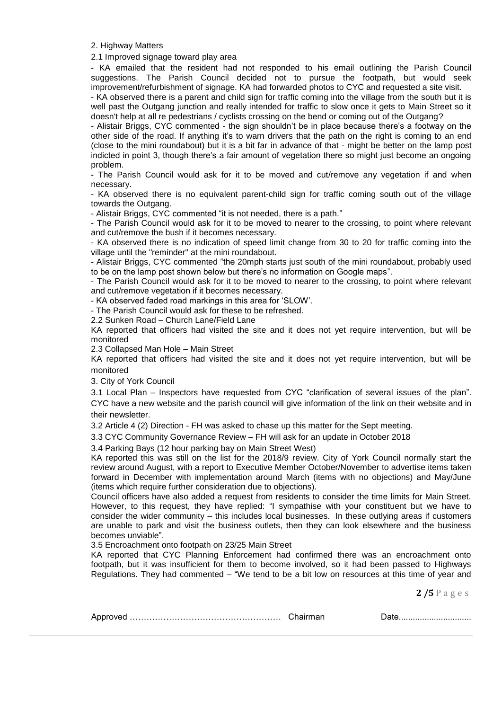2. Highway Matters

2.1 Improved signage toward play area

- KA emailed that the resident had not responded to his email outlining the Parish Council suggestions. The Parish Council decided not to pursue the footpath, but would seek improvement/refurbishment of signage. KA had forwarded photos to CYC and requested a site visit.

- KA observed there is a parent and child sign for traffic coming into the village from the south but it is well past the Outgang junction and really intended for traffic to slow once it gets to Main Street so it doesn't help at all re pedestrians / cyclists crossing on the bend or coming out of the Outgang?

- Alistair Briggs, CYC commented - the sign shouldn't be in place because there's a footway on the other side of the road. If anything it's to warn drivers that the path on the right is coming to an end (close to the mini roundabout) but it is a bit far in advance of that - might be better on the lamp post indicted in point 3, though there's a fair amount of vegetation there so might just become an ongoing problem.

- The Parish Council would ask for it to be moved and cut/remove any vegetation if and when necessary.

- KA observed there is no equivalent parent-child sign for traffic coming south out of the village towards the Outgang.

- Alistair Briggs, CYC commented "it is not needed, there is a path."

- The Parish Council would ask for it to be moved to nearer to the crossing, to point where relevant and cut/remove the bush if it becomes necessary.

- KA observed there is no indication of speed limit change from 30 to 20 for traffic coming into the village until the "reminder" at the mini roundabout.

- Alistair Briggs, CYC commented "the 20mph starts just south of the mini roundabout, probably used to be on the lamp post shown below but there's no information on Google maps".

- The Parish Council would ask for it to be moved to nearer to the crossing, to point where relevant and cut/remove vegetation if it becomes necessary.

- KA observed faded road markings in this area for 'SLOW'.

- The Parish Council would ask for these to be refreshed.

2.2 Sunken Road – Church Lane/Field Lane

KA reported that officers had visited the site and it does not yet require intervention, but will be monitored

2.3 Collapsed Man Hole – Main Street

KA reported that officers had visited the site and it does not yet require intervention, but will be monitored

3. City of York Council

3.1 Local Plan – Inspectors have requested from CYC "clarification of several issues of the plan". CYC have a new website and the parish council will give information of the link on their website and in their newsletter.

3.2 Article 4 (2) Direction - FH was asked to chase up this matter for the Sept meeting.

3.3 CYC Community Governance Review – FH will ask for an update in October 2018

3.4 Parking Bays (12 hour parking bay on Main Street West)

KA reported this was still on the list for the 2018/9 review. City of York Council normally start the review around August, with a report to Executive Member October/November to advertise items taken forward in December with implementation around March (items with no objections) and May/June (items which require further consideration due to objections).

Council officers have also added a request from residents to consider the time limits for Main Street. However, to this request, they have replied: "I sympathise with your constituent but we have to consider the wider community – this includes local businesses. In these outlying areas if customers are unable to park and visit the business outlets, then they can look elsewhere and the business becomes unviable".

3.5 Encroachment onto footpath on 23/25 Main Street

KA reported that CYC Planning Enforcement had confirmed there was an encroachment onto footpath, but it was insufficient for them to become involved, so it had been passed to Highways Regulations. They had commented – "We tend to be a bit low on resources at this time of year and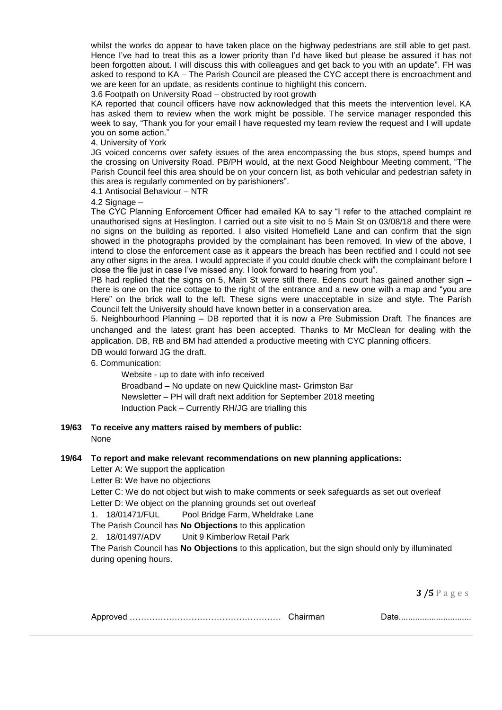whilst the works do appear to have taken place on the highway pedestrians are still able to get past. Hence I've had to treat this as a lower priority than I'd have liked but please be assured it has not been forgotten about. I will discuss this with colleagues and get back to you with an update". FH was asked to respond to KA – The Parish Council are pleased the CYC accept there is encroachment and we are keen for an update, as residents continue to highlight this concern.

3.6 Footpath on University Road – obstructed by root growth

KA reported that council officers have now acknowledged that this meets the intervention level. KA has asked them to review when the work might be possible. The service manager responded this week to say, "Thank you for your email I have requested my team review the request and I will update you on some action."

4. University of York

JG voiced concerns over safety issues of the area encompassing the bus stops, speed bumps and the crossing on University Road. PB/PH would, at the next Good Neighbour Meeting comment, "The Parish Council feel this area should be on your concern list, as both vehicular and pedestrian safety in this area is regularly commented on by parishioners".

4.1 Antisocial Behaviour – NTR

4.2 Signage -

The CYC Planning Enforcement Officer had emailed KA to say "I refer to the attached complaint re unauthorised signs at Heslington. I carried out a site visit to no 5 Main St on 03/08/18 and there were no signs on the building as reported. I also visited Homefield Lane and can confirm that the sign showed in the photographs provided by the complainant has been removed. In view of the above, I intend to close the enforcement case as it appears the breach has been rectified and I could not see any other signs in the area. I would appreciate if you could double check with the complainant before I close the file just in case I've missed any. I look forward to hearing from you".

PB had replied that the signs on 5, Main St were still there. Edens court has gained another sign – there is one on the nice cottage to the right of the entrance and a new one with a map and "you are Here" on the brick wall to the left. These signs were unacceptable in size and style. The Parish Council felt the University should have known better in a conservation area.

5. Neighbourhood Planning – DB reported that it is now a Pre Submission Draft. The finances are unchanged and the latest grant has been accepted. Thanks to Mr McClean for dealing with the application. DB, RB and BM had attended a productive meeting with CYC planning officers.

DB would forward JG the draft.

6. Communication:

Website - up to date with info received Broadband – No update on new Quickline mast- Grimston Bar Newsletter – PH will draft next addition for September 2018 meeting Induction Pack – Currently RH/JG are trialling this

**19/63 To receive any matters raised by members of public:** 

None

## **19/64 To report and make relevant recommendations on new planning applications:**

Letter A: We support the application

Letter B: We have no objections

Letter C: We do not object but wish to make comments or seek safeguards as set out overleaf Letter D: We object on the planning grounds set out overleaf

1. 18/01471/FUL Pool Bridge Farm, Wheldrake Lane

The Parish Council has **No Objections** to this application

2. 18/01497/ADV Unit 9 Kimberlow Retail Park

The Parish Council has **No Objections** to this application, but the sign should only by illuminated during opening hours.

|--|--|--|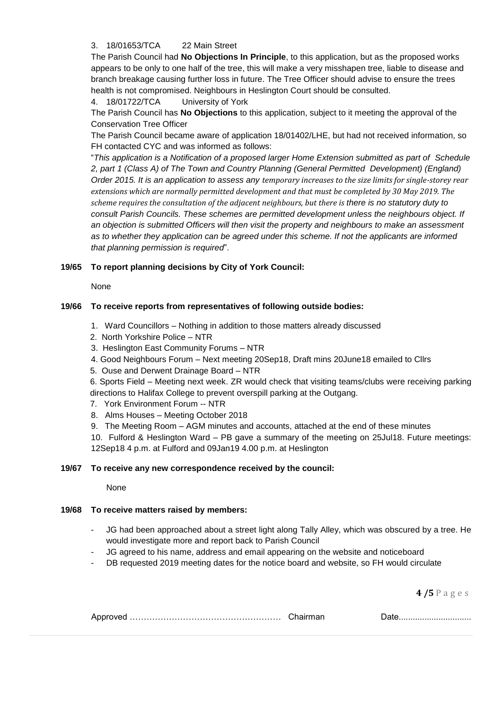# 3. 18/01653/TCA 22 Main Street

The Parish Council had **No Objections In Principle**, to this application, but as the proposed works appears to be only to one half of the tree, this will make a very misshapen tree, liable to disease and branch breakage causing further loss in future. The Tree Officer should advise to ensure the trees health is not compromised. Neighbours in Heslington Court should be consulted.

4. 18/01722/TCA University of York

The Parish Council has **No Objections** to this application, subject to it meeting the approval of the Conservation Tree Officer

The Parish Council became aware of application 18/01402/LHE, but had not received information, so FH contacted CYC and was informed as follows:

"*This application is a Notification of a proposed larger Home Extension submitted as part of Schedule 2, part 1 (Class A) of The Town and Country Planning (General Permitted Development) (England) Order 2015. It is an application to assess any temporary increases to the size limits for single-storey rear extensions which are normally permitted development and that must be completed by 30 May 2019. The scheme requires the consultation of the adjacent neighbours, but there is there is no statutory duty to consult Parish Councils. These schemes are permitted development unless the neighbours object. If an objection is submitted Officers will then visit the property and neighbours to make an assessment as to whether they application can be agreed under this scheme. If not the applicants are informed that planning permission is required*".

## **19/65 To report planning decisions by City of York Council:**

None

## **19/66 To receive reports from representatives of following outside bodies:**

- 1. Ward Councillors Nothing in addition to those matters already discussed
- 2. North Yorkshire Police NTR
- 3. Heslington East Community Forums NTR
- 4. Good Neighbours Forum Next meeting 20Sep18, Draft mins 20June18 emailed to Cllrs
- 5. Ouse and Derwent Drainage Board NTR

6. Sports Field – Meeting next week. ZR would check that visiting teams/clubs were receiving parking directions to Halifax College to prevent overspill parking at the Outgang.

- 7. York Environment Forum -- NTR
- 8. Alms Houses Meeting October 2018
- 9. The Meeting Room AGM minutes and accounts, attached at the end of these minutes

10. Fulford & Heslington Ward – PB gave a summary of the meeting on 25Jul18. Future meetings: 12Sep18 4 p.m. at Fulford and 09Jan19 4.00 p.m. at Heslington

## **19/67 To receive any new correspondence received by the council:**

None

## **19/68 To receive matters raised by members:**

- JG had been approached about a street light along Tally Alley, which was obscured by a tree. He would investigate more and report back to Parish Council
- JG agreed to his name, address and email appearing on the website and noticeboard
- DB requested 2019 meeting dates for the notice board and website, so FH would circulate

|--|--|--|